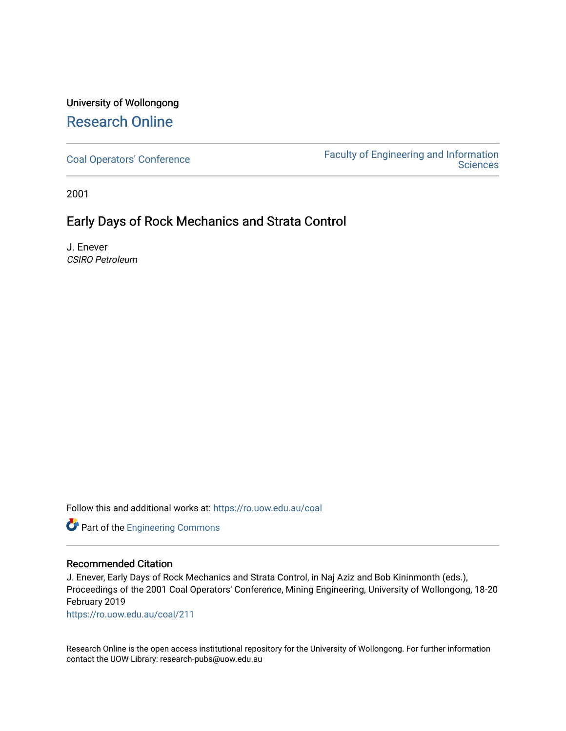## University of Wollongong [Research Online](https://ro.uow.edu.au/)

[Coal Operators' Conference](https://ro.uow.edu.au/coal) [Faculty of Engineering and Information](https://ro.uow.edu.au/eis)  **Sciences** 

2001

### Early Days of Rock Mechanics and Strata Control

J. Enever CSIRO Petroleum

Follow this and additional works at: [https://ro.uow.edu.au/coal](https://ro.uow.edu.au/coal?utm_source=ro.uow.edu.au%2Fcoal%2F211&utm_medium=PDF&utm_campaign=PDFCoverPages) 

Part of the [Engineering Commons](http://network.bepress.com/hgg/discipline/217?utm_source=ro.uow.edu.au%2Fcoal%2F211&utm_medium=PDF&utm_campaign=PDFCoverPages)

#### Recommended Citation

J. Enever, Early Days of Rock Mechanics and Strata Control, in Naj Aziz and Bob Kininmonth (eds.), Proceedings of the 2001 Coal Operators' Conference, Mining Engineering, University of Wollongong, 18-20 February 2019

[https://ro.uow.edu.au/coal/211](https://ro.uow.edu.au/coal/211?utm_source=ro.uow.edu.au%2Fcoal%2F211&utm_medium=PDF&utm_campaign=PDFCoverPages) 

Research Online is the open access institutional repository for the University of Wollongong. For further information contact the UOW Library: research-pubs@uow.edu.au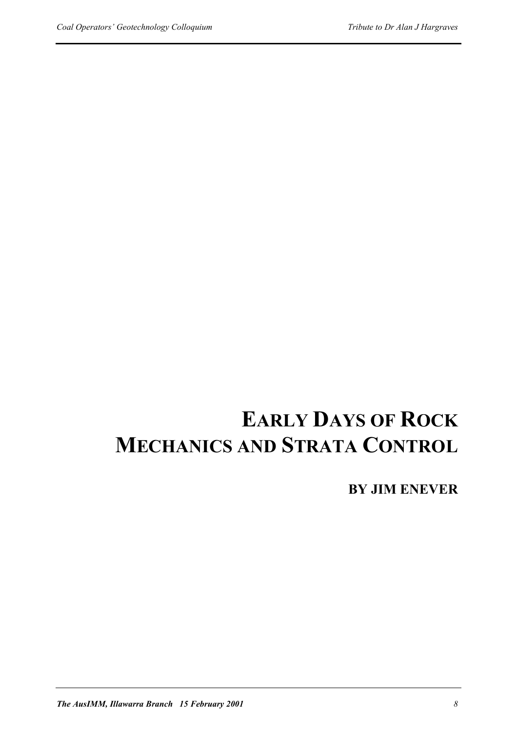# **EARLY DAYS OF ROCK MECHANICS AND STRATA CONTROL**

**BY JIM ENEVER**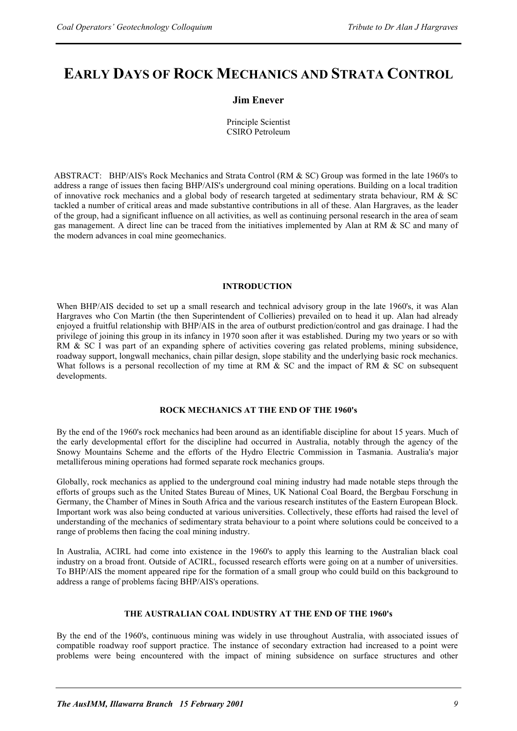## **EARLY DAYS OF ROCK MECHANICS AND STRATA CONTROL**

#### **Jim Enever**

Principle Scientist CSIRO Petroleum

ABSTRACT: BHP/AIS's Rock Mechanics and Strata Control (RM & SC) Group was formed in the late 1960's to address a range of issues then facing BHP/AIS's underground coal mining operations. Building on a local tradition of innovative rock mechanics and a global body of research targeted at sedimentary strata behaviour, RM & SC tackled a number of critical areas and made substantive contributions in all of these. Alan Hargraves, as the leader of the group, had a significant influence on all activities, as well as continuing personal research in the area of seam gas management. A direct line can be traced from the initiatives implemented by Alan at RM & SC and many of the modern advances in coal mine geomechanics.

#### **INTRODUCTION**

When BHP/AIS decided to set up a small research and technical advisory group in the late 1960's, it was Alan Hargraves who Con Martin (the then Superintendent of Collieries) prevailed on to head it up. Alan had already enjoyed a fruitful relationship with BHP/AIS in the area of outburst prediction/control and gas drainage. I had the privilege of joining this group in its infancy in 1970 soon after it was established. During my two years or so with RM & SC I was part of an expanding sphere of activities covering gas related problems, mining subsidence, roadway support, longwall mechanics, chain pillar design, slope stability and the underlying basic rock mechanics. What follows is a personal recollection of my time at RM & SC and the impact of RM & SC on subsequent developments.

#### **ROCK MECHANICS AT THE END OF THE 1960's**

By the end of the 1960's rock mechanics had been around as an identifiable discipline for about 15 years. Much of the early developmental effort for the discipline had occurred in Australia, notably through the agency of the Snowy Mountains Scheme and the efforts of the Hydro Electric Commission in Tasmania. Australia's major metalliferous mining operations had formed separate rock mechanics groups.

Globally, rock mechanics as applied to the underground coal mining industry had made notable steps through the efforts of groups such as the United States Bureau of Mines, UK National Coal Board, the Bergbau Forschung in Germany, the Chamber of Mines in South Africa and the various research institutes of the Eastern European Block. Important work was also being conducted at various universities. Collectively, these efforts had raised the level of understanding of the mechanics of sedimentary strata behaviour to a point where solutions could be conceived to a range of problems then facing the coal mining industry.

In Australia, ACIRL had come into existence in the 1960's to apply this learning to the Australian black coal industry on a broad front. Outside of ACIRL, focussed research efforts were going on at a number of universities. To BHP/AIS the moment appeared ripe for the formation of a small group who could build on this background to address a range of problems facing BHP/AIS's operations.

#### **THE AUSTRALIAN COAL INDUSTRY AT THE END OF THE 1960's**

By the end of the 1960's, continuous mining was widely in use throughout Australia, with associated issues of compatible roadway roof support practice. The instance of secondary extraction had increased to a point were problems were being encountered with the impact of mining subsidence on surface structures and other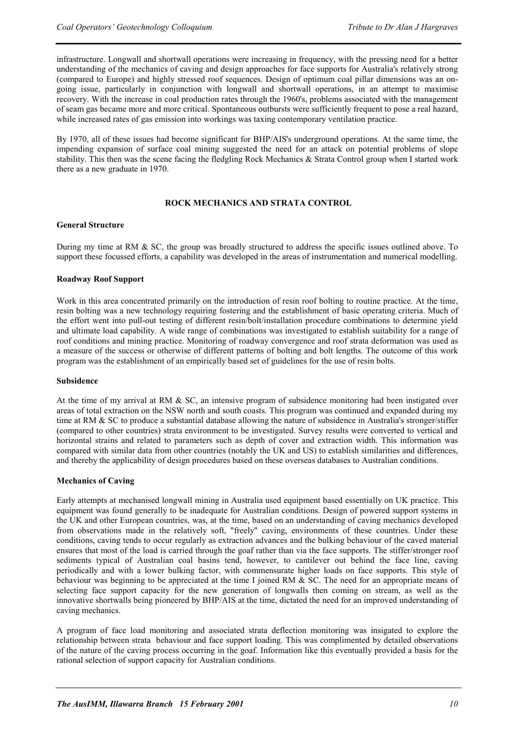infrastructure. Longwall and shortwall operations were increasing in frequency, with the pressing need for a better understanding of the mechanics of caving and design approaches for face supports for Australia's relatively strong (compared to Europe) and highly stressed roof sequences. Design of optimum coal pillar dimensions was an ongoing issue, particularly in conjunction with longwall and shortwall operations, in an attempt to maximise recovery. With the increase in coal production rates through the 1960's, problems associated with the management of seam gas became more and more critical. Spontaneous outbursts were sufficiently frequent to pose a real hazard, while increased rates of gas emission into workings was taxing contemporary ventilation practice.

By 1970, all of these issues had become significant for BHP/AIS's underground operations. At the same time, the impending expansion of surface coal mining suggested the need for an attack on potential problems of slope stability. This then was the scene facing the fledgling Rock Mechanics & Strata Control group when I started work there as a new graduate in 1970.

#### **ROCK MECHANICS AND STRATA CONTROL**

#### **General Structure**

During my time at RM & SC, the group was broadly structured to address the specific issues outlined above. To support these focussed efforts, a capability was developed in the areas of instrumentation and numerical modelling.

#### **Roadway Roof Support**

Work in this area concentrated primarily on the introduction of resin roof bolting to routine practice. At the time, resin bolting was a new technology requiring fostering and the establishment of basic operating criteria. Much of the effort went into pull-out testing of different resin/bolt/installation procedure combinations to determine yield and ultimate load capability. A wide range of combinations was investigated to establish suitability for a range of roof conditions and mining practice. Monitoring of roadway convergence and roof strata deformation was used as a measure of the success or otherwise of different patterns of bolting and bolt lengths. The outcome of this work program was the establishment of an empirically based set of guidelines for the use of resin bolts.

#### **Subsidence**

At the time of my arrival at RM  $\&$  SC, an intensive program of subsidence monitoring had been instigated over areas of total extraction on the NSW north and south coasts. This program was continued and expanded during my time at RM & SC to produce a substantial database allowing the nature of subsidence in Australia's stronger/stiffer (compared to other countries) strata environment to be investigated. Survey results were converted to vertical and horizontal strains and related to parameters such as depth of cover and extraction width. This information was compared with similar data from other countries (notably the UK and US) to establish similarities and differences, and thereby the applicability of design procedures based on these overseas databases to Australian conditions.

#### **Mechanics of Caving**

Early attempts at mechanised longwall mining in Australia used equipment based essentially on UK practice. This equipment was found generally to be inadequate for Australian conditions. Design of powered support systems in the UK and other European countries, was, at the time, based on an understanding of caving mechanics developed from observations made in the relatively soft, "freely" caving, environments of these countries. Under these conditions, caving tends to occur regularly as extraction advances and the bulking behaviour of the caved material ensures that most of the load is carried through the goaf rather than via the face supports. The stiffer/stronger roof sediments typical of Australian coal basins tend, however, to cantilever out behind the face line, caving periodically and with a lower bulking factor, with commensurate higher loads on face supports. This style of behaviour was beginning to be appreciated at the time I joined RM & SC. The need for an appropriate means of selecting face support capacity for the new generation of longwalls then coming on stream, as well as the innovative shortwalls being pioneered by BHP/AIS at the time, dictated the need for an improved understanding of caving mechanics.

A program of face load monitoring and associated strata deflection monitoring was insigated to explore the relationship between strata behaviour and face support loading. This was complimented by detailed observations of the nature of the caving process occurring in the goaf. Information like this eventually provided a basis for the rational selection of support capacity for Australian conditions.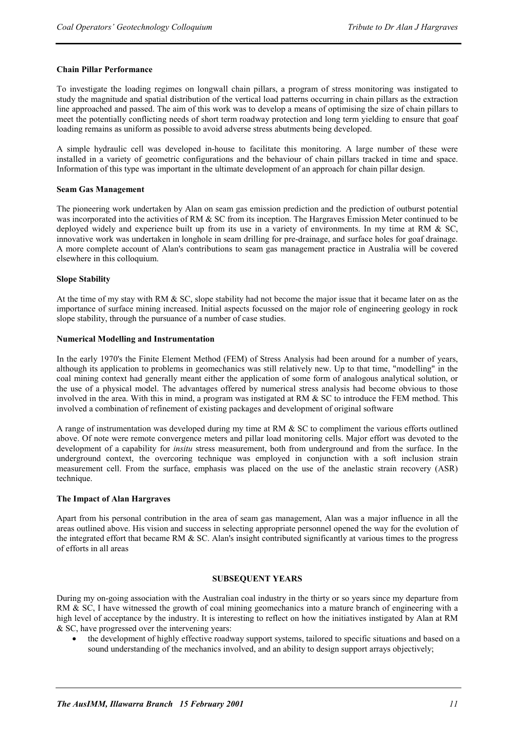#### **Chain Pillar Performance**

To investigate the loading regimes on longwall chain pillars, a program of stress monitoring was instigated to study the magnitude and spatial distribution of the vertical load patterns occurring in chain pillars as the extraction line approached and passed. The aim of this work was to develop a means of optimising the size of chain pillars to meet the potentially conflicting needs of short term roadway protection and long term yielding to ensure that goaf loading remains as uniform as possible to avoid adverse stress abutments being developed.

A simple hydraulic cell was developed in-house to facilitate this monitoring. A large number of these were installed in a variety of geometric configurations and the behaviour of chain pillars tracked in time and space. Information of this type was important in the ultimate development of an approach for chain pillar design.

#### **Seam Gas Management**

The pioneering work undertaken by Alan on seam gas emission prediction and the prediction of outburst potential was incorporated into the activities of RM & SC from its inception. The Hargraves Emission Meter continued to be deployed widely and experience built up from its use in a variety of environments. In my time at RM & SC, innovative work was undertaken in longhole in seam drilling for pre-drainage, and surface holes for goaf drainage. A more complete account of Alan's contributions to seam gas management practice in Australia will be covered elsewhere in this colloquium.

#### **Slope Stability**

At the time of my stay with RM & SC, slope stability had not become the major issue that it became later on as the importance of surface mining increased. Initial aspects focussed on the major role of engineering geology in rock slope stability, through the pursuance of a number of case studies.

#### **Numerical Modelling and Instrumentation**

In the early 1970's the Finite Element Method (FEM) of Stress Analysis had been around for a number of years, although its application to problems in geomechanics was still relatively new. Up to that time, "modelling" in the coal mining context had generally meant either the application of some form of analogous analytical solution, or the use of a physical model. The advantages offered by numerical stress analysis had become obvious to those involved in the area. With this in mind, a program was instigated at RM & SC to introduce the FEM method. This involved a combination of refinement of existing packages and development of original software

A range of instrumentation was developed during my time at RM & SC to compliment the various efforts outlined above. Of note were remote convergence meters and pillar load monitoring cells. Major effort was devoted to the development of a capability for *insitu* stress measurement, both from underground and from the surface. In the underground context, the overcoring technique was employed in conjunction with a soft inclusion strain measurement cell. From the surface, emphasis was placed on the use of the anelastic strain recovery (ASR) technique.

#### **The Impact of Alan Hargraves**

Apart from his personal contribution in the area of seam gas management, Alan was a major influence in all the areas outlined above. His vision and success in selecting appropriate personnel opened the way for the evolution of the integrated effort that became RM & SC. Alan's insight contributed significantly at various times to the progress of efforts in all areas

#### **SUBSEQUENT YEARS**

During my on-going association with the Australian coal industry in the thirty or so years since my departure from RM & SC, I have witnessed the growth of coal mining geomechanics into a mature branch of engineering with a high level of acceptance by the industry. It is interesting to reflect on how the initiatives instigated by Alan at RM & SC, have progressed over the intervening years:

• the development of highly effective roadway support systems, tailored to specific situations and based on a sound understanding of the mechanics involved, and an ability to design support arrays objectively;